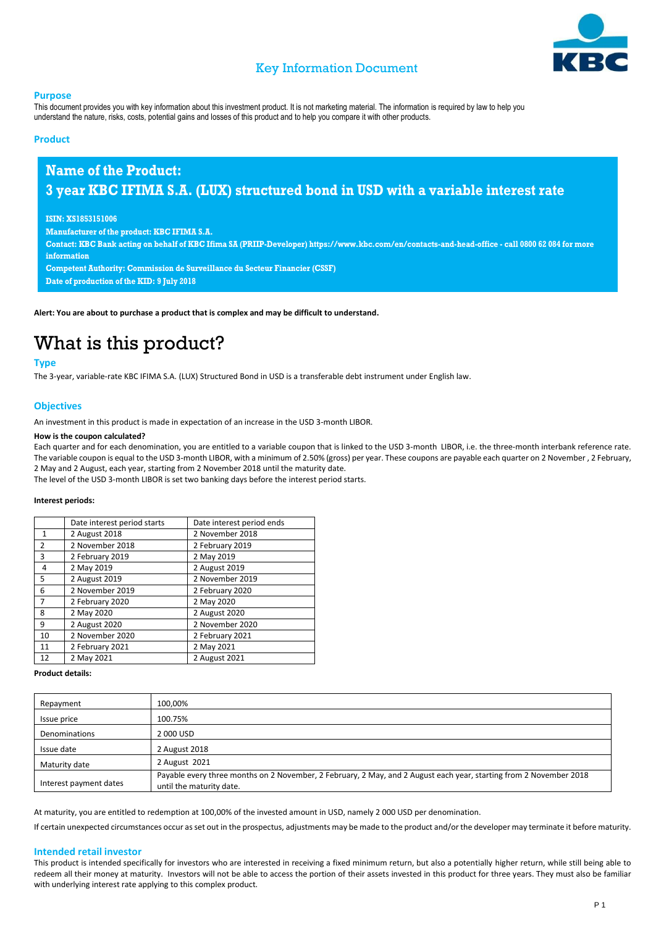

### Key Information Document

#### **Purpose**

This document provides you with key information about this investment product. It is not marketing material. The information is required by law to help you understand the nature, risks, costs, potential gains and losses of this product and to help you compare it with other products.

### **Product**

### **Name of the Product: 3 year KBC IFIMA S.A. (LUX) structured bond in USD with a variable interest rate**

#### **ISIN: XS1853151006**

**Manufacturer of the product: KBC IFIMA S.A.**

**Contact: KBC Bank acting on behalf of KBC Ifima SA (PRIIP-Developer) https://www.kbc.com/en/contacts-and-head-office - call 0800 62 084 for more information**

**Competent Authority: Commission de Surveillance du Secteur Financier (CSSF) Date of production of the KID: 9 July 2018**

**Alert: You are about to purchase a product that is complex and may be difficult to understand.**

## What is this product?

### **Type**

The 3-year, variable-rate KBC IFIMA S.A. (LUX) Structured Bond in USD is a transferable debt instrument under English law.

### **Objectives**

An investment in this product is made in expectation of an increase in the USD 3-month LIBOR.

#### **How is the coupon calculated?**

Each quarter and for each denomination, you are entitled to a variable coupon that is linked to the USD 3-month LIBOR, i.e. the three-month interbank reference rate. The variable coupon is equal to the USD 3-month LIBOR, with a minimum of 2.50% (gross) per year. These coupons are payable each quarter on 2 November , 2 February, 2 May and 2 August, each year, starting from 2 November 2018 until the maturity date.

The level of the USD 3-month LIBOR is set two banking days before the interest period starts.

### **Interest periods:**

|                | Date interest period starts | Date interest period ends |
|----------------|-----------------------------|---------------------------|
| $\mathbf{1}$   | 2 August 2018               | 2 November 2018           |
| $\overline{2}$ | 2 November 2018             | 2 February 2019           |
| 3              | 2 February 2019             | 2 May 2019                |
| $\overline{4}$ | 2 May 2019                  | 2 August 2019             |
| 5              | 2 August 2019               | 2 November 2019           |
| 6              | 2 November 2019             | 2 February 2020           |
| $\overline{7}$ | 2 February 2020             | 2 May 2020                |
| 8              | 2 May 2020                  | 2 August 2020             |
| 9              | 2 August 2020               | 2 November 2020           |
| 10             | 2 November 2020             | 2 February 2021           |
| 11             | 2 February 2021             | 2 May 2021                |
| 12             | 2 May 2021                  | 2 August 2021             |

#### **Product details:**

| Repayment              | 100,00%                                                                                                                                        |
|------------------------|------------------------------------------------------------------------------------------------------------------------------------------------|
| Issue price            | 100.75%                                                                                                                                        |
| Denominations          | 2 000 USD                                                                                                                                      |
| Issue date             | 2 August 2018                                                                                                                                  |
| Maturity date          | 2 August 2021                                                                                                                                  |
| Interest payment dates | Payable every three months on 2 November, 2 February, 2 May, and 2 August each year, starting from 2 November 2018<br>until the maturity date. |

At maturity, you are entitled to redemption at 100,00% of the invested amount in USD, namely 2 000 USD per denomination.

If certain unexpected circumstances occur as set out in the prospectus, adjustments may be made to the product and/or the developer may terminate it before maturity.

#### **Intended retail investor**

This product is intended specifically for investors who are interested in receiving a fixed minimum return, but also a potentially higher return, while still being able to redeem all their money at maturity. Investors will not be able to access the portion of their assets invested in this product for three years. They must also be familiar with underlying interest rate applying to this complex product.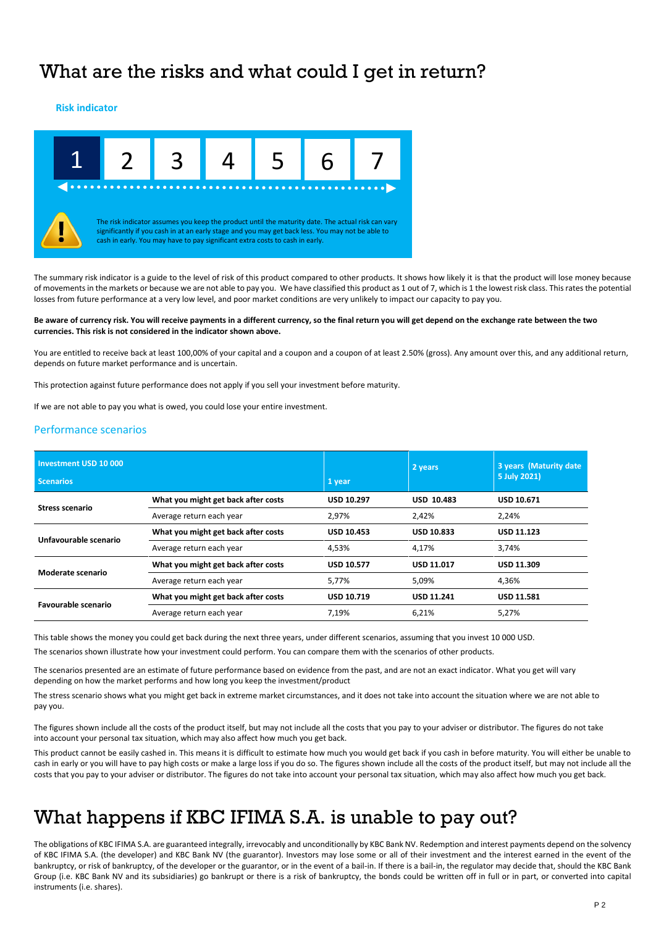### What are the risks and what could I get in return?

### **Risk indicator**



The summary risk indicator is a guide to the level of risk of this product compared to other products. It shows how likely it is that the product will lose money because of movements in the markets or because we are not able to pay you. We have classified this product as 1 out of 7, which is 1 the lowest risk class. This rates the potential losses from future performance at a very low level, and poor market conditions are very unlikely to impact our capacity to pay you.

#### **Be aware of currency risk. You will receive payments in a different currency, so the final return you will get depend on the exchange rate between the two currencies. This risk is not considered in the indicator shown above.**

You are entitled to receive back at least 100,00% of your capital and a coupon and a coupon of at least 2.50% (gross). Any amount over this, and any additional return, depends on future market performance and is uncertain.

This protection against future performance does not apply if you sell your investment before maturity.

If we are not able to pay you what is owed, you could lose your entire investment.

### Performance scenarios

| Investment USD 10 000<br><b>Scenarios</b> |                                     | 1 year            | 2 years           | 3 years (Maturity date<br>5 July 2021) |
|-------------------------------------------|-------------------------------------|-------------------|-------------------|----------------------------------------|
| Stress scenario                           | What you might get back after costs | <b>USD 10.297</b> | <b>USD 10.483</b> | <b>USD 10.671</b>                      |
|                                           | Average return each year            | 2,97%             | 2,42%             | 2,24%                                  |
| Unfavourable scenario                     | What you might get back after costs | <b>USD 10.453</b> | <b>USD 10.833</b> | USD 11.123                             |
|                                           | Average return each year            | 4,53%             | 4.17%             | 3,74%                                  |
| Moderate scenario                         | What you might get back after costs | <b>USD 10.577</b> | <b>USD 11.017</b> | USD 11.309                             |
|                                           | Average return each year            | 5,77%             | 5.09%             | 4.36%                                  |
|                                           | What you might get back after costs | <b>USD 10.719</b> | <b>USD 11.241</b> | <b>USD 11.581</b>                      |
| <b>Favourable scenario</b>                | Average return each year            | 7.19%             | 6.21%             | 5,27%                                  |

This table shows the money you could get back during the next three years, under different scenarios, assuming that you invest 10 000 USD.

The scenarios shown illustrate how your investment could perform. You can compare them with the scenarios of other products.

The scenarios presented are an estimate of future performance based on evidence from the past, and are not an exact indicator. What you get will vary depending on how the market performs and how long you keep the investment/product

The stress scenario shows what you might get back in extreme market circumstances, and it does not take into account the situation where we are not able to pay you.

The figures shown include all the costs of the product itself, but may not include all the costs that you pay to your adviser or distributor. The figures do not take into account your personal tax situation, which may also affect how much you get back.

This product cannot be easily cashed in. This means it is difficult to estimate how much you would get back if you cash in before maturity. You will either be unable to cash in early or you will have to pay high costs or make a large loss if you do so. The figures shown include all the costs of the product itself, but may not include all the costs that you pay to your adviser or distributor. The figures do not take into account your personal tax situation, which may also affect how much you get back.

### What happens if KBC IFIMA S.A. is unable to pay out?

The obligations of KBC IFIMA S.A. are guaranteed integrally, irrevocably and unconditionally by KBC Bank NV. Redemption and interest payments depend on the solvency of KBC IFIMA S.A. (the developer) and KBC Bank NV (the guarantor). Investors may lose some or all of their investment and the interest earned in the event of the bankruptcy, or risk of bankruptcy, of the developer or the guarantor, or in the event of a bail-in. If there is a bail-in, the regulator may decide that, should the KBC Bank Group (i.e. KBC Bank NV and its subsidiaries) go bankrupt or there is a risk of bankruptcy, the bonds could be written off in full or in part, or converted into capital instruments (i.e. shares).